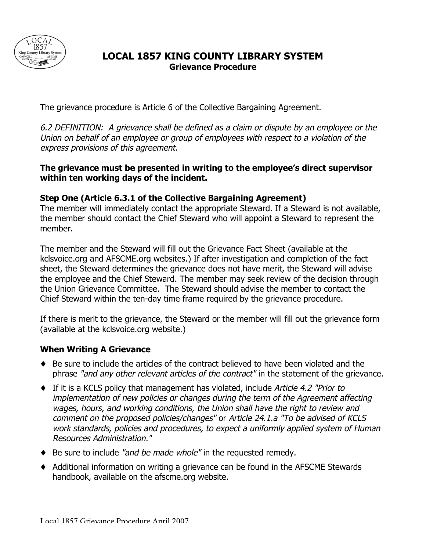

## **LOCAL 1857 KING COUNTY LIBRARY SYSTEM Grievance Procedure**

The grievance procedure is Article 6 of the Collective Bargaining Agreement.

6.2 DEFINITION: A grievance shall be defined as a claim or dispute by an employee or the Union on behalf of an employee or group of employees with respect to a violation of the express provisions of this agreement.

#### **The grievance must be presented in writing to the employee's direct supervisor within ten working days of the incident.**

#### **Step One (Article 6.3.1 of the Collective Bargaining Agreement)**

The member will immediately contact the appropriate Steward. If a Steward is not available, the member should contact the Chief Steward who will appoint a Steward to represent the member.

The member and the Steward will fill out the Grievance Fact Sheet (available at the kclsvoice.org and AFSCME.org websites.) If after investigation and completion of the fact sheet, the Steward determines the grievance does not have merit, the Steward will advise the employee and the Chief Steward. The member may seek review of the decision through the Union Grievance Committee. The Steward should advise the member to contact the Chief Steward within the ten-day time frame required by the grievance procedure.

If there is merit to the grievance, the Steward or the member will fill out the grievance form (available at the kclsvoice.org website.)

### **When Writing A Grievance**

- ♦ Be sure to include the articles of the contract believed to have been violated and the phrase "and any other relevant articles of the contract" in the statement of the grievance.
- $\blacklozenge$  If it is a KCLS policy that management has violated, include Article 4.2 "Prior to implementation of new policies or changes during the term of the Agreement affecting wages, hours, and working conditions, the Union shall have the right to review and comment on the proposed policies/changes" or Article 24.1.a "To be advised of KCLS work standards, policies and procedures, to expect a uniformly applied system of Human Resources Administration."
- ◆ Be sure to include "and be made whole" in the requested remedy.
- ♦ Additional information on writing a grievance can be found in the AFSCME Stewards handbook, available on the afscme.org website.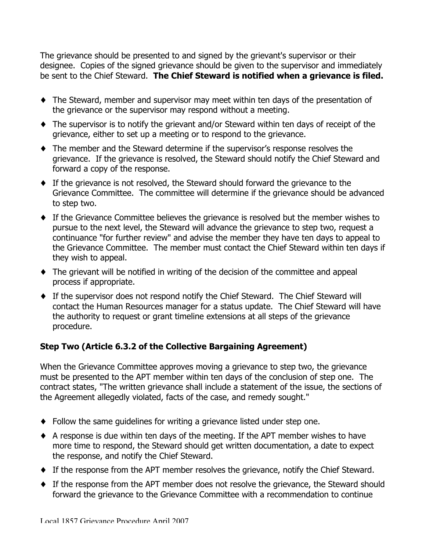The grievance should be presented to and signed by the grievant's supervisor or their designee. Copies of the signed grievance should be given to the supervisor and immediately be sent to the Chief Steward. **The Chief Steward is notified when a grievance is filed.**

- ♦ The Steward, member and supervisor may meet within ten days of the presentation of the grievance or the supervisor may respond without a meeting.
- ♦ The supervisor is to notify the grievant and/or Steward within ten days of receipt of the grievance, either to set up a meeting or to respond to the grievance.
- ♦ The member and the Steward determine if the supervisor's response resolves the grievance. If the grievance is resolved, the Steward should notify the Chief Steward and forward a copy of the response.
- ♦ If the grievance is not resolved, the Steward should forward the grievance to the Grievance Committee. The committee will determine if the grievance should be advanced to step two.
- ♦ If the Grievance Committee believes the grievance is resolved but the member wishes to pursue to the next level, the Steward will advance the grievance to step two, request a continuance "for further review" and advise the member they have ten days to appeal to the Grievance Committee. The member must contact the Chief Steward within ten days if they wish to appeal.
- ♦ The grievant will be notified in writing of the decision of the committee and appeal process if appropriate.
- ♦ If the supervisor does not respond notify the Chief Steward. The Chief Steward will contact the Human Resources manager for a status update. The Chief Steward will have the authority to request or grant timeline extensions at all steps of the grievance procedure.

### **Step Two (Article 6.3.2 of the Collective Bargaining Agreement)**

When the Grievance Committee approves moving a grievance to step two, the grievance must be presented to the APT member within ten days of the conclusion of step one. The contract states, "The written grievance shall include a statement of the issue, the sections of the Agreement allegedly violated, facts of the case, and remedy sought."

- ♦ Follow the same guidelines for writing a grievance listed under step one.
- ♦ A response is due within ten days of the meeting. If the APT member wishes to have more time to respond, the Steward should get written documentation, a date to expect the response, and notify the Chief Steward.
- ♦ If the response from the APT member resolves the grievance, notify the Chief Steward.
- ♦ If the response from the APT member does not resolve the grievance, the Steward should forward the grievance to the Grievance Committee with a recommendation to continue